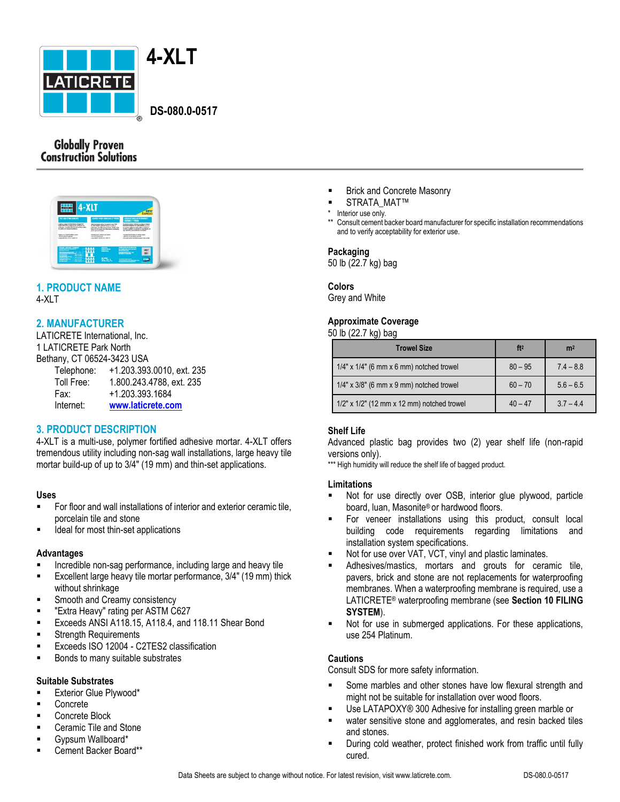

 **DS-080.0-0517**

# **Globally Proven Construction Solutions**



#### **1. PRODUCT NAME** 4-XLT

# **2. MANUFACTURER**

LATICRETE International, Inc. 1 LATICRETE Park North Bethany, CT 06524-3423 USA Telephone: +1.203.393.0010, ext. 235 Toll Free: 1.800.243.4788, ext. 235 Fax: +1.203.393.1684 Internet: **[www.laticrete.com](http://www.laticrete.com/)**

# **3. PRODUCT DESCRIPTION**

4-XLT is a multi-use, polymer fortified adhesive mortar. 4-XLT offers tremendous utility including non-sag wall installations, large heavy tile mortar build-up of up to 3/4" (19 mm) and thin-set applications.

## **Uses**

- For floor and wall installations of interior and exterior ceramic tile, porcelain tile and stone
- Ideal for most thin-set applications

## **Advantages**

- Incredible non-sag performance, including large and heavy tile
- **Excellent large heavy tile mortar performance, 3/4" (19 mm) thick** without shrinkage
- Smooth and Creamy consistency
- **EXTRA Heavy" rating per ASTM C627**
- Exceeds ANSI A118.15, A118.4, and 118.11 Shear Bond
- Strength Requirements
- Exceeds ISO 12004 C2TES2 classification
- Bonds to many suitable substrates

## **Suitable Substrates**

- Exterior Glue Plywood\*
- Concrete
- Concrete Block
- Ceramic Tile and Stone
- Gypsum Wallboard\*
- Cement Backer Board\*\*
- **Brick and Concrete Masonry**
- STRATA\_MAT™
- \* Interior use only.
- \*\* Consult cement backer board manufacturer for specific installation recommendations and to verify acceptability for exterior use.

## **Packaging**

50 lb (22.7 kg) bag

## **Colors**

Grey and White

## **Approximate Coverage**

50 lb (22.7 kg) bag

| <b>Trowel Size</b>                               | ft <sup>2</sup> | m <sup>2</sup> |
|--------------------------------------------------|-----------------|----------------|
| $1/4$ " x $1/4$ " (6 mm x 6 mm) notched trowel   | $80 - 95$       | $7.4 - 8.8$    |
| $1/4$ " x $3/8$ " (6 mm x 9 mm) notched trowel   | $60 - 70$       | $5.6 - 6.5$    |
| $1/2$ " x $1/2$ " (12 mm x 12 mm) notched trowel | $40 - 47$       | $37 - 44$      |

# **Shelf Life**

Advanced plastic bag provides two (2) year shelf life (non-rapid versions only).

\*\*\* High humidity will reduce the shelf life of bagged product.

## **Limitations**

- Not for use directly over OSB, interior glue plywood, particle board, luan, Masonite® or hardwood floors.
- For veneer installations using this product, consult local building code requirements regarding limitations and installation system specifications.
- Not for use over VAT, VCT, vinyl and plastic laminates.
- Adhesives/mastics, mortars and grouts for ceramic tile, pavers, brick and stone are not replacements for waterproofing membranes. When a waterproofing membrane is required, use a LATICRETE® waterproofing membrane (see **Section 10 FILING SYSTEM**).
- Not for use in submerged applications. For these applications, use 254 Platinum.

## **Cautions**

Consult SDS for more safety information.

- Some marbles and other stones have low flexural strength and might not be suitable for installation over wood floors.
- Use LATAPOXY® 300 Adhesive for installing green marble or
- water sensitive stone and agglomerates, and resin backed tiles and stones.
- During cold weather, protect finished work from traffic until fully cured.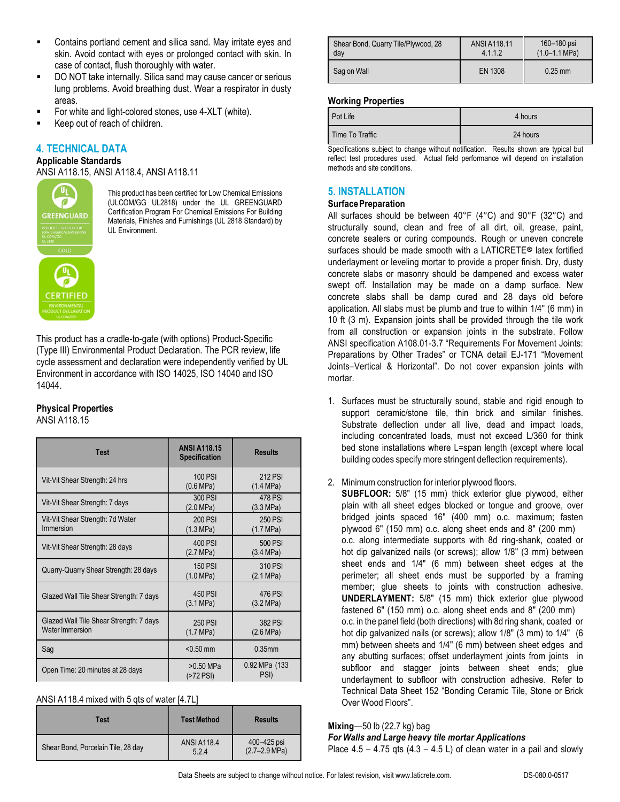- Contains portland cement and silica sand. May irritate eyes and skin. Avoid contact with eyes or prolonged contact with skin. In case of contact, flush thoroughly with water.
- DO NOT take internally. Silica sand may cause cancer or serious lung problems. Avoid breathing dust. Wear a respirator in dusty areas.
- For white and light-colored stones, use 4-XLT (white).
- Keep out of reach of children.

# **4. TECHNICAL DATA**

#### **Applicable Standards**

ANSI A118.15, ANSI A118.4, ANSI A118.11



This product has been certified for Low Chemical Emissions (ULCOM/GG UL2818) under the UL GREENGUARD Certification Program For Chemical Emissions For Building Materials, Finishes and Furnishings (UL 2818 Standard) by UL Environment.

This product has a cradle-to-gate (with options) Product-Specific (Type III) Environmental Product Declaration. The PCR review, life cycle assessment and declaration were independently verified by UL Environment in accordance with ISO 14025, ISO 14040 and ISO 14044.

## **Physical Properties**

ANSI A118.15

| <b>Test</b>                                                       | <b>ANSI A118.15</b><br><b>Specification</b> | <b>Results</b>                 |
|-------------------------------------------------------------------|---------------------------------------------|--------------------------------|
| Vit-Vit Shear Strength: 24 hrs                                    | 100 PSI<br>(0.6 MPa)                        | <b>212 PSI</b><br>(1.4 MPa)    |
| Vit-Vit Shear Strength: 7 days                                    | 300 PSI<br>(2.0 MPa)                        | <b>478 PSI</b><br>(3.3 MPa)    |
| Vit-Vit Shear Strength: 7d Water<br>Immersion                     | 200 PSI<br>(1.3 MPa)                        | <b>250 PSI</b><br>(1.7 MPa)    |
| Vit-Vit Shear Strength: 28 days                                   | 400 PSI<br>(2.7 MPa)                        | 500 PSI<br>(3.4 MPa)           |
| Quarry-Quarry Shear Strength: 28 days                             | <b>150 PSI</b><br>(1.0 MPa)                 | 310 PSI<br>$(2.1 \text{ MPa})$ |
| Glazed Wall Tile Shear Strength: 7 days                           | 450 PSI<br>(3.1 MPa)                        | 476 PSI<br>(3.2 MPa)           |
| Glazed Wall Tile Shear Strength: 7 days<br><b>Water Immersion</b> | 250 PSI<br>(1.7 MPa)                        | 382 PSI<br>(2.6 MPa)           |
| Sag                                                               | $< 0.50$ mm                                 | $0.35$ mm                      |
| Open Time: 20 minutes at 28 days                                  | >0.50 MPa<br>(>72 PSI)                      | 0.92 MPa (133<br>PSI)          |

| ANSI A118.4 mixed with 5 qts of water [4.7L] |  |  |
|----------------------------------------------|--|--|
|                                              |  |  |

| Test                               | <b>Test Method</b>          | <b>Results</b>                           |
|------------------------------------|-----------------------------|------------------------------------------|
| Shear Bond, Porcelain Tile, 28 day | <b>ANSI A118.4</b><br>5.2.4 | 400–425 psi<br>$(2.7 - 2.9 \text{ MPa})$ |

| Shear Bond, Quarry Tile/Plywood, 28 | ANSI A118.11 | 160-180 psi               |
|-------------------------------------|--------------|---------------------------|
| dav                                 | 4.1.1.2      | $(1.0 - 1.1 \text{ MPa})$ |
| Sag on Wall                         | EN 1308      | $0.25$ mm                 |

#### **Working Properties**

| Pot Life        | 4 hours  |
|-----------------|----------|
| Time To Traffic | 24 hours |

Specifications subject to change without notification. Results shown are typical but reflect test procedures used. Actual field performance will depend on installation methods and site conditions.

# **5. INSTALLATION**

#### **SurfacePreparation**

All surfaces should be between 40°F (4°C) and 90°F (32°C) and structurally sound, clean and free of all dirt, oil, grease, paint, concrete sealers or curing compounds. Rough or uneven concrete surfaces should be made smooth with a LATICRETE**®** latex fortified underlayment or leveling mortar to provide a proper finish. Dry, dusty concrete slabs or masonry should be dampened and excess water swept off. Installation may be made on a damp surface. New concrete slabs shall be damp cured and 28 days old before application. All slabs must be plumb and true to within 1/4" (6 mm) in 10 ft (3 m). Expansion joints shall be provided through the tile work from all construction or expansion joints in the substrate. Follow ANSI specification A108.01-3.7 "Requirements For Movement Joints: Preparations by Other Trades" or TCNA detail EJ-171 "Movement Joints–Vertical & Horizontal". Do not cover expansion joints with mortar.

1. Surfaces must be structurally sound, stable and rigid enough to support ceramic/stone tile, thin brick and similar finishes. Substrate deflection under all live, dead and impact loads, including concentrated loads, must not exceed L/360 for think bed stone installations where L=span length (except where local building codes specify more stringent deflection requirements).

## 2. Minimum construction for interior plywood floors.

**SUBFLOOR:** 5/8" (15 mm) thick exterior glue plywood, either plain with all sheet edges blocked or tongue and groove, over bridged joints spaced 16" (400 mm) o.c. maximum; fasten plywood 6" (150 mm) o.c. along sheet ends and 8" (200 mm) o.c. along intermediate supports with 8d ring-shank, coated or hot dip galvanized nails (or screws); allow 1/8" (3 mm) between sheet ends and 1/4" (6 mm) between sheet edges at the perimeter; all sheet ends must be supported by a framing member; glue sheets to joints with construction adhesive. **UNDERLAYMENT:** 5/8" (15 mm) thick exterior glue plywood fastened 6" (150 mm) o.c. along sheet ends and 8" (200 mm) o.c. in the panel field (both directions) with 8d ring shank, coated or hot dip galvanized nails (or screws); allow 1/8" (3 mm) to 1/4" (6 mm) between sheets and 1/4" (6 mm) between sheet edges and any abutting surfaces; offset underlayment joints from joints in subfloor and stagger joints between sheet ends; glue underlayment to subfloor with construction adhesive. Refer to Technical Data Sheet 152 "Bonding Ceramic Tile, Stone or Brick Over Wood Floors".

#### **Mixing**—50 lb (22.7 kg) bag

## *For Walls and Large heavy tile mortar Applications*

Place  $4.5 - 4.75$  qts  $(4.3 - 4.5 \text{ L})$  of clean water in a pail and slowly